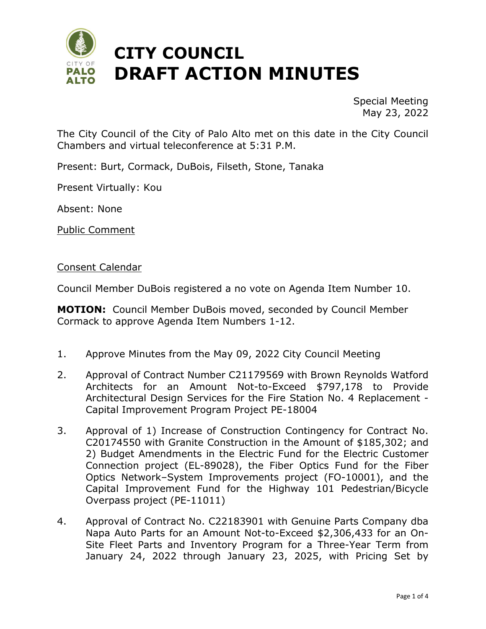

Special Meeting May 23, 2022

The City Council of the City of Palo Alto met on this date in the City Council Chambers and virtual teleconference at 5:31 P.M.

Present: Burt, Cormack, DuBois, Filseth, Stone, Tanaka

Present Virtually: Kou

Absent: None

Public Comment

Consent Calendar

Council Member DuBois registered a no vote on Agenda Item Number 10.

**MOTION:** Council Member DuBois moved, seconded by Council Member Cormack to approve Agenda Item Numbers 1-12.

- 1. Approve Minutes from the May 09, 2022 City Council Meeting
- 2. Approval of Contract Number C21179569 with Brown Reynolds Watford Architects for an Amount Not-to-Exceed \$797,178 to Provide Architectural Design Services for the Fire Station No. 4 Replacement - Capital Improvement Program Project PE-18004
- 3. Approval of 1) Increase of Construction Contingency for Contract No. C20174550 with Granite Construction in the Amount of \$185,302; and 2) Budget Amendments in the Electric Fund for the Electric Customer Connection project (EL-89028), the Fiber Optics Fund for the Fiber Optics Network–System Improvements project (FO-10001), and the Capital Improvement Fund for the Highway 101 Pedestrian/Bicycle Overpass project (PE-11011)
- 4. Approval of Contract No. C22183901 with Genuine Parts Company dba Napa Auto Parts for an Amount Not-to-Exceed \$2,306,433 for an On-Site Fleet Parts and Inventory Program for a Three-Year Term from January 24, 2022 through January 23, 2025, with Pricing Set by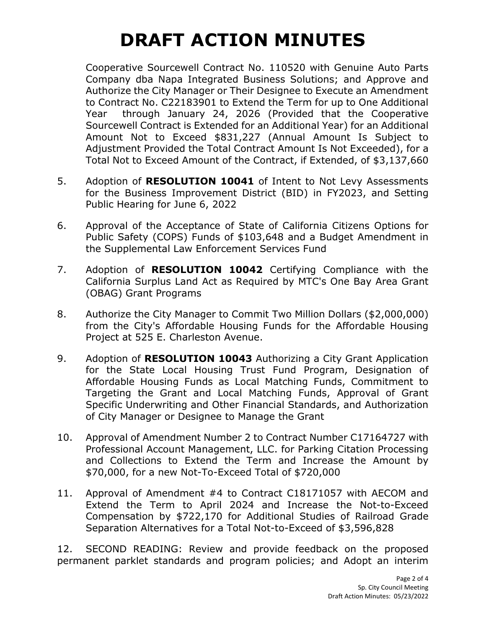# **DRAFT ACTION MINUTES**

Cooperative Sourcewell Contract No. 110520 with Genuine Auto Parts Company dba Napa Integrated Business Solutions; and Approve and Authorize the City Manager or Their Designee to Execute an Amendment to Contract No. C22183901 to Extend the Term for up to One Additional Year through January 24, 2026 (Provided that the Cooperative Sourcewell Contract is Extended for an Additional Year) for an Additional Amount Not to Exceed \$831,227 (Annual Amount Is Subject to Adjustment Provided the Total Contract Amount Is Not Exceeded), for a Total Not to Exceed Amount of the Contract, if Extended, of \$3,137,660

- 5. Adoption of **RESOLUTION 10041** of Intent to Not Levy Assessments for the Business Improvement District (BID) in FY2023, and Setting Public Hearing for June 6, 2022
- 6. Approval of the Acceptance of State of California Citizens Options for Public Safety (COPS) Funds of \$103,648 and a Budget Amendment in the Supplemental Law Enforcement Services Fund
- 7. Adoption of **RESOLUTION 10042** Certifying Compliance with the California Surplus Land Act as Required by MTC's One Bay Area Grant (OBAG) Grant Programs
- 8. Authorize the City Manager to Commit Two Million Dollars (\$2,000,000) from the City's Affordable Housing Funds for the Affordable Housing Project at 525 E. Charleston Avenue.
- 9. Adoption of **RESOLUTION 10043** Authorizing a City Grant Application for the State Local Housing Trust Fund Program, Designation of Affordable Housing Funds as Local Matching Funds, Commitment to Targeting the Grant and Local Matching Funds, Approval of Grant Specific Underwriting and Other Financial Standards, and Authorization of City Manager or Designee to Manage the Grant
- 10. Approval of Amendment Number 2 to Contract Number C17164727 with Professional Account Management, LLC. for Parking Citation Processing and Collections to Extend the Term and Increase the Amount by \$70,000, for a new Not-To-Exceed Total of \$720,000
- 11. Approval of Amendment #4 to Contract C18171057 with AECOM and Extend the Term to April 2024 and Increase the Not-to-Exceed Compensation by \$722,170 for Additional Studies of Railroad Grade Separation Alternatives for a Total Not-to-Exceed of \$3,596,828

12. SECOND READING: Review and provide feedback on the proposed permanent parklet standards and program policies; and Adopt an interim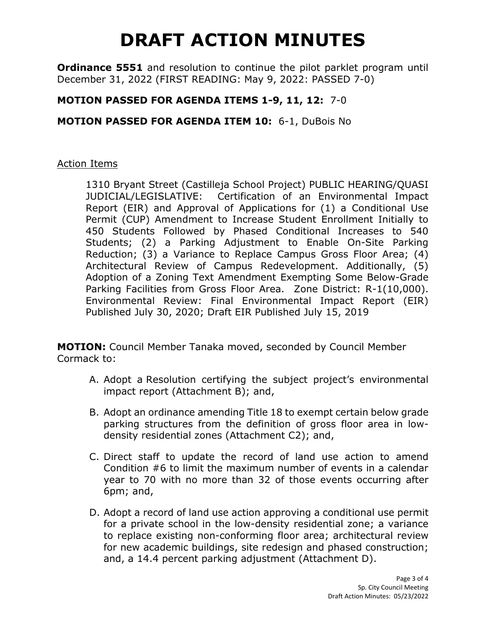## **DRAFT ACTION MINUTES**

**Ordinance 5551** and resolution to continue the pilot parklet program until December 31, 2022 (FIRST READING: May 9, 2022: PASSED 7-0)

#### **MOTION PASSED FOR AGENDA ITEMS 1-9, 11, 12:** 7-0

#### **MOTION PASSED FOR AGENDA ITEM 10:** 6-1, DuBois No

#### Action Items

1310 Bryant Street (Castilleja School Project) PUBLIC HEARING/QUASI JUDICIAL/LEGISLATIVE: Certification of an Environmental Impact Report (EIR) and Approval of Applications for (1) a Conditional Use Permit (CUP) Amendment to Increase Student Enrollment Initially to 450 Students Followed by Phased Conditional Increases to 540 Students; (2) a Parking Adjustment to Enable On-Site Parking Reduction; (3) a Variance to Replace Campus Gross Floor Area; (4) Architectural Review of Campus Redevelopment. Additionally, (5) Adoption of a Zoning Text Amendment Exempting Some Below-Grade Parking Facilities from Gross Floor Area. Zone District: R-1(10,000). Environmental Review: Final Environmental Impact Report (EIR) Published July 30, 2020; Draft EIR Published July 15, 2019

**MOTION:** Council Member Tanaka moved, seconded by Council Member Cormack to:

- A. Adopt a Resolution certifying the subject project's environmental impact report (Attachment B); and,
- B. Adopt an ordinance amending Title 18 to exempt certain below grade parking structures from the definition of gross floor area in lowdensity residential zones (Attachment C2); and,
- C. Direct staff to update the record of land use action to amend Condition #6 to limit the maximum number of events in a calendar year to 70 with no more than 32 of those events occurring after 6pm; and,
- D. Adopt a record of land use action approving a conditional use permit for a private school in the low-density residential zone; a variance to replace existing non-conforming floor area; architectural review for new academic buildings, site redesign and phased construction; and, a 14.4 percent parking adjustment (Attachment D).